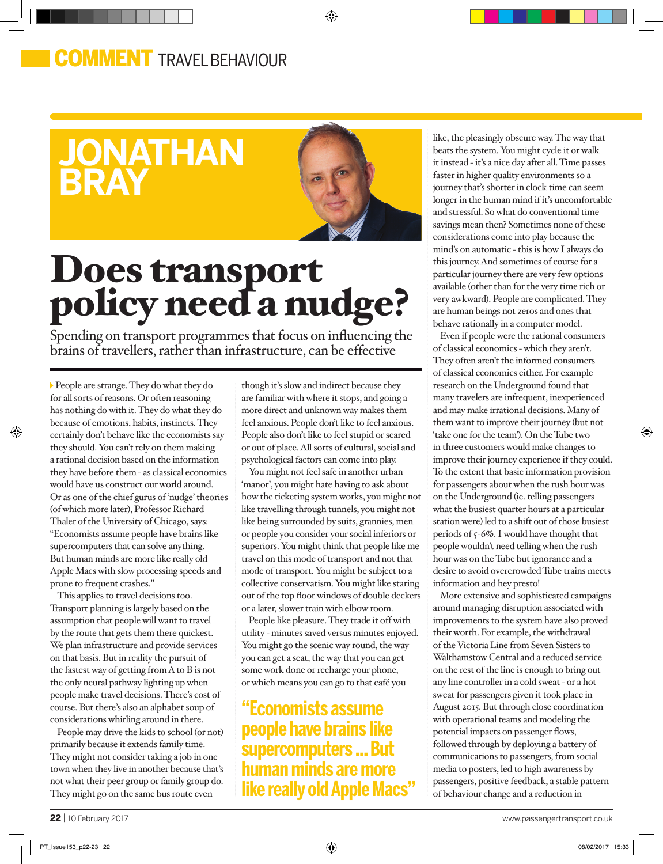## **OMMENT** TRAVEL BEHAVIOUR

## **jonathan bray**



◈

# Does transport policy need a nudge?

Spending on transport programmes that focus on influencing the brains of travellers, rather than infrastructure, can be effective

People are strange. They do what they do for all sorts of reasons. Or often reasoning has nothing do with it. They do what they do because of emotions, habits, instincts. They certainly don't behave like the economists say they should. You can't rely on them making a rational decision based on the information they have before them - as classical economics would have us construct our world around. Or as one of the chief gurus of 'nudge' theories (of which more later), Professor Richard Thaler of the University of Chicago, says: "Economists assume people have brains like supercomputers that can solve anything. But human minds are more like really old Apple Macs with slow processing speeds and prone to frequent crashes."

◈

This applies to travel decisions too. Transport planning is largely based on the assumption that people will want to travel by the route that gets them there quickest. We plan infrastructure and provide services on that basis. But in reality the pursuit of the fastest way of getting from A to B is not the only neural pathway lighting up when people make travel decisions. There's cost of course. But there's also an alphabet soup of considerations whirling around in there.

People may drive the kids to school (or not) primarily because it extends family time. They might not consider taking a job in one town when they live in another because that's not what their peer group or family group do. They might go on the same bus route even

though it's slow and indirect because they are familiar with where it stops, and going a more direct and unknown way makes them feel anxious. People don't like to feel anxious. People also don't like to feel stupid or scared or out of place. All sorts of cultural, social and psychological factors can come into play.

You might not feel safe in another urban 'manor', you might hate having to ask about how the ticketing system works, you might not like travelling through tunnels, you might not like being surrounded by suits, grannies, men or people you consider your social inferiors or superiors. You might think that people like me travel on this mode of transport and not that mode of transport. You might be subject to a collective conservatism. You might like staring out of the top floor windows of double deckers or a later, slower train with elbow room.

People like pleasure. They trade it off with utility - minutes saved versus minutes enjoyed. You might go the scenic way round, the way you can get a seat, the way that you can get some work done or recharge your phone, or which means you can go to that café you

**"Economists assume people have brains like supercomputers ... But human minds are more like really old Apple Macs"** like, the pleasingly obscure way. The way that beats the system. You might cycle it or walk it instead - it's a nice day after all. Time passes faster in higher quality environments so a journey that's shorter in clock time can seem longer in the human mind if it's uncomfortable and stressful. So what do conventional time savings mean then? Sometimes none of these considerations come into play because the mind's on automatic - this is how I always do this journey. And sometimes of course for a particular journey there are very few options available (other than for the very time rich or very awkward). People are complicated. They are human beings not zeros and ones that behave rationally in a computer model.

Even if people were the rational consumers of classical economics - which they aren't. They often aren't the informed consumers of classical economics either. For example research on the Underground found that many travelers are infrequent, inexperienced and may make irrational decisions. Many of them want to improve their journey (but not 'take one for the team'). On the Tube two in three customers would make changes to improve their journey experience if they could. To the extent that basic information provision for passengers about when the rush hour was on the Underground (ie. telling passengers what the busiest quarter hours at a particular station were) led to a shift out of those busiest periods of 5-6%. I would have thought that people wouldn't need telling when the rush hour was on the Tube but ignorance and a desire to avoid overcrowded Tube trains meets information and hey presto!

More extensive and sophisticated campaigns around managing disruption associated with improvements to the system have also proved their worth. For example, the withdrawal of the Victoria Line from Seven Sisters to Walthamstow Central and a reduced service on the rest of the line is enough to bring out any line controller in a cold sweat - or a hot sweat for passengers given it took place in August 2015. But through close coordination with operational teams and modeling the potential impacts on passenger flows, followed through by deploying a battery of communications to passengers, from social media to posters, led to high awareness by passengers, positive feedback, a stable pattern of behaviour change and a reduction in

⊕